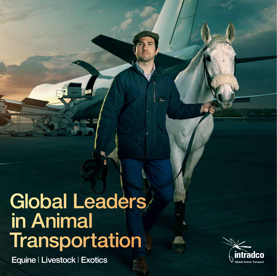# Global Leaders in Animal **Transportation**

Intradco www.chapman-freeborn.com/en/intradco

Equine | Livestock | Exotics

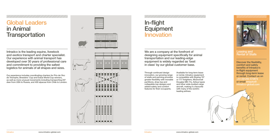### <u>ЧИНИНИНИНИНИНИНИНИНИНИН</u>

## Global Leaders in Animal **Transportation**



## **Equipment** Innovation

Intradco is the leading equine, livestock and exotics transport and charter specialist. Our experience with animal transport has developed over 30 years of professional care and commitment to providing the safest logistics for animals of all shapes and sizes.

### In-flight

Through continued design innovation, our growing range of stalls and penning provides greater flexibility with movable partitions, drop-top and collapsible-top designs and added safety and comfort features for their occupants.

Available for long-term lease or rental, Intradco equipment is compatible with Boeing 747 or 777 freighters, McDonnell Douglas MD-11s, Airbus types and other wide-bodied cargo aircraft, making it a favourite with many of the world's leading airlines.

We are a company at the forefront of designing equipment specifically for animal transportation and our leading-edge equipment is widely regarded as 'best in class' by our global customer base.

Discover the flexibility, comfort and safety benefits of Intradco's in-flight equipment through long-term lease or rental. Contact us on +44 (0)1293 572872 or email enquiry@ intradco-global.com

#### Leasing and Rental of Stalls

Our experience includes coordinating charters for Prix de l'Arc de Triomphe, Breeders' Cup and Dubai World Cup winners, as well as more unusual movements including transporting 247 deer from USA to Russia, and 400 alpacas from Chile to London.

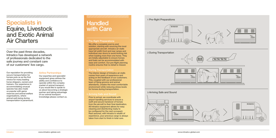1 Pre-flight Preparations



### 2 During Transportation





### <u>ЧИНИНИНИНИНИНИНИНИНИНИНИН</u>

## Specialists in Equine, Livestock and Exotic Animal Air Charters

Our reputation for providing secure transportation for horses puts us as the first choice for many leading horse shippers, owners and trainers. Our experience in accommodating unusual species has also made us popular with game reserves and animal welfare organisations, where animal well-being during transportation is paramount.

### **Handled** with Care

#### Airline Partnerships

Our expertise and specialist equipment gives airlines the ability and confidence to operate within the complex market of animal transport. If you would like to speak to us about becoming a strategic partner and taking advantage of our animal transport knowledge please contact us.

### <u>TANAN MANAMAN MANA MAN</u>

Over the past three decades, Intradco has developed a network of professionals dedicated to the safe journey and constant care of our customers' live cargo.

#### 1 Pre-flight Preparations

 We offer a complete end-to-end solution, starting with sourcing the most appropriate aircraft. Intradco air stalls have full width front and rear ramps and individual rear doors to avoid kicking risk when loading more than one horse. They are totally adjustable to ensure horses and foals can be accommodated with ease and comfort. Our pre-flight planning routine ensures that no detail is missed.

#### 2 During Transportation

 The interior design of Intradco air stalls comes from years of experience and acting on the feedback of our customers. This, coupled with our professional team of flying grooms and animal attendants, creates the most comfortable environment while reducing stress levels for horses during transportation.

 Prior to arrival, we coordinate with airport handling services to ensure a swift and secure handover of horses from the aircraft to their final destination. All Intradco equipment allows for easy cleaning and disinfecting ready to be configured for the next occupant. Rest assured, with Intradco's wealth of experience, your precious cargo is always taken from start to finish in total care.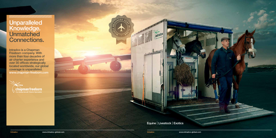### **Unparalleled** Knowledge. Unmatched Connections.

, ЧИНПИНИНИНИНИНИН

Intradco is a Chapman Freeborn company. With more than four decades of air charter experience and over 30 offices strategically located worldwide, our global coverage is unparalleled. www.chapman-freeborn.com

Chapman freeborn

### Equine | Livestock | Exotics

intradco